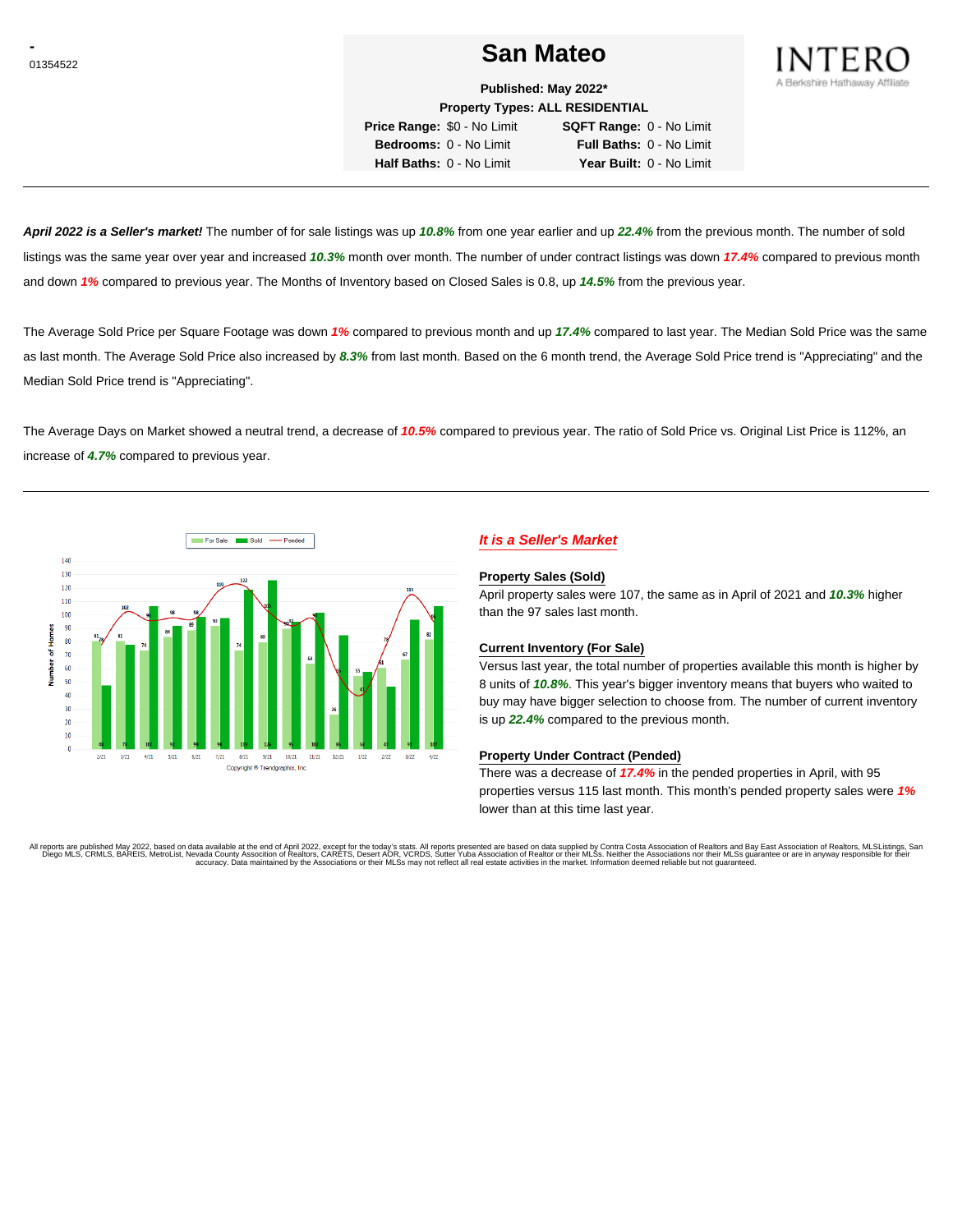# **Construction Contract of the San Mateo San Mateo**



**Published: May 2022\* Property Types: ALL RESIDENTIAL**

**Price Range:** \$0 - No Limit **SQFT Range:** 0 - No Limit **Bedrooms:** 0 - No Limit **Full Baths:** 0 - No Limit **Half Baths:** 0 - No Limit **Year Built:** 0 - No Limit

**April 2022 is a Seller's market!** The number of for sale listings was up **10.8%** from one year earlier and up **22.4%** from the previous month. The number of sold listings was the same year over year and increased **10.3%** month over month. The number of under contract listings was down **17.4%** compared to previous month and down **1%** compared to previous year. The Months of Inventory based on Closed Sales is 0.8, up **14.5%** from the previous year.

The Average Sold Price per Square Footage was down **1%** compared to previous month and up **17.4%** compared to last year. The Median Sold Price was the same as last month. The Average Sold Price also increased by **8.3%** from last month. Based on the 6 month trend, the Average Sold Price trend is "Appreciating" and the Median Sold Price trend is "Appreciating".

The Average Days on Market showed a neutral trend, a decrease of **10.5%** compared to previous year. The ratio of Sold Price vs. Original List Price is 112%, an increase of **4.7%** compared to previous year.



## **It is a Seller's Market**

#### **Property Sales (Sold)**

April property sales were 107, the same as in April of 2021 and **10.3%** higher than the 97 sales last month.

### **Current Inventory (For Sale)**

Versus last year, the total number of properties available this month is higher by 8 units of **10.8%**. This year's bigger inventory means that buyers who waited to buy may have bigger selection to choose from. The number of current inventory is up **22.4%** compared to the previous month.

#### **Property Under Contract (Pended)**

There was a decrease of **17.4%** in the pended properties in April, with 95 properties versus 115 last month. This month's pended property sales were **1%** lower than at this time last year.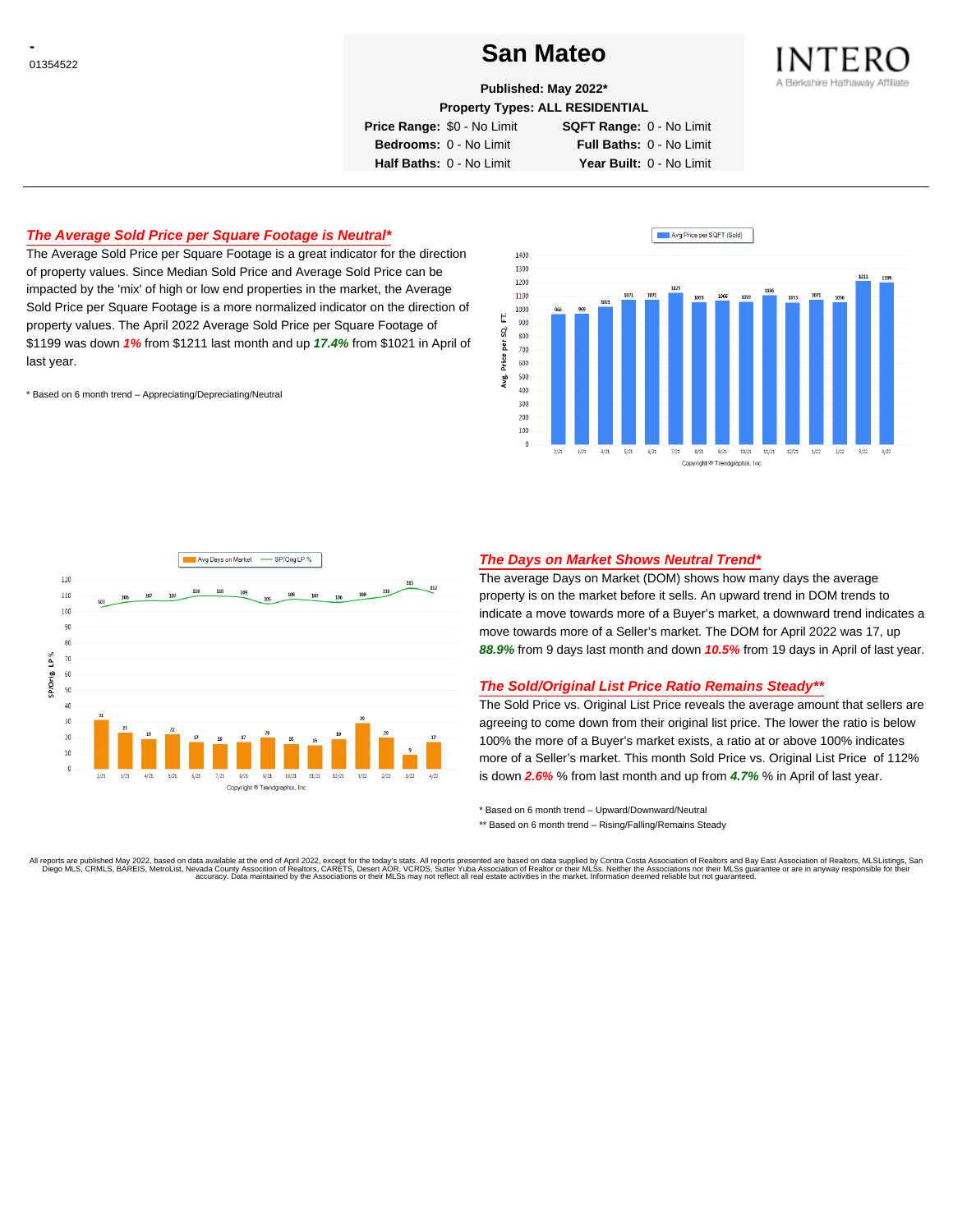# **CONSTRUCTED San Mateo San Mateo**



**Published: May 2022\***

**Property Types: ALL RESIDENTIAL**

**Price Range:** \$0 - No Limit **SQFT Range:** 0 - No Limit

**Bedrooms:** 0 - No Limit **Full Baths:** 0 - No Limit **Half Baths:** 0 - No Limit **Year Built:** 0 - No Limit

## **The Average Sold Price per Square Footage is Neutral\***

The Average Sold Price per Square Footage is a great indicator for the direction of property values. Since Median Sold Price and Average Sold Price can be impacted by the 'mix' of high or low end properties in the market, the Average Sold Price per Square Footage is a more normalized indicator on the direction of property values. The April 2022 Average Sold Price per Square Footage of \$1199 was down **1%** from \$1211 last month and up **17.4%** from \$1021 in April of last year.

\* Based on 6 month trend – Appreciating/Depreciating/Neutral





### **The Days on Market Shows Neutral Trend\***

The average Days on Market (DOM) shows how many days the average property is on the market before it sells. An upward trend in DOM trends to indicate a move towards more of a Buyer's market, a downward trend indicates a move towards more of a Seller's market. The DOM for April 2022 was 17, up **88.9%** from 9 days last month and down **10.5%** from 19 days in April of last year.

### **The Sold/Original List Price Ratio Remains Steady\*\***

The Sold Price vs. Original List Price reveals the average amount that sellers are agreeing to come down from their original list price. The lower the ratio is below 100% the more of a Buyer's market exists, a ratio at or above 100% indicates more of a Seller's market. This month Sold Price vs. Original List Price of 112% is down **2.6%** % from last month and up from **4.7%** % in April of last year.

\* Based on 6 month trend – Upward/Downward/Neutral

\*\* Based on 6 month trend - Rising/Falling/Remains Steady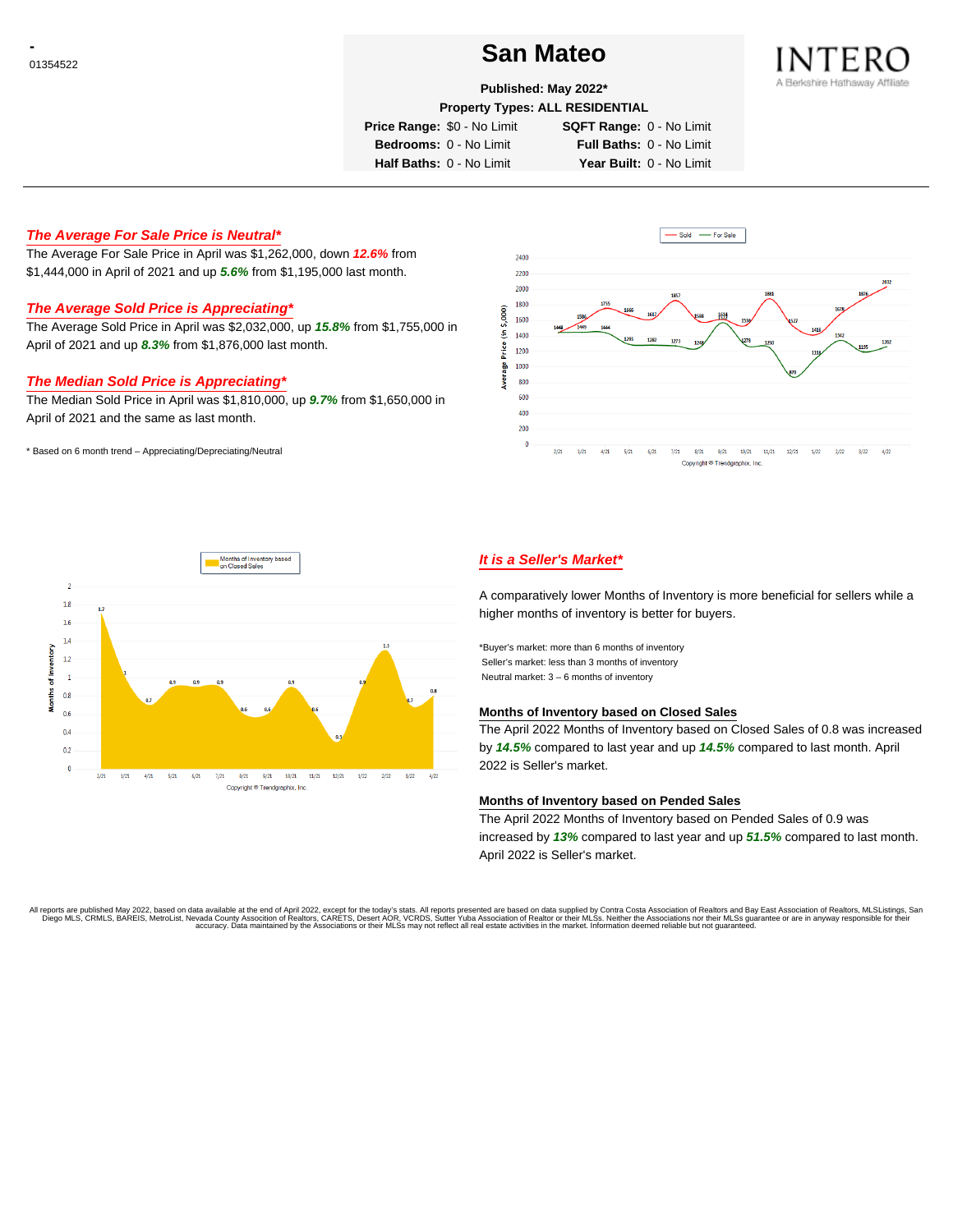# **Constanting to the Contract of the San Mateo** Constanting to the San Mateo



**Published: May 2022\***

**Property Types: ALL RESIDENTIAL**

**Price Range:** \$0 - No Limit **SQFT Range:** 0 - No Limit

**Bedrooms:** 0 - No Limit **Full Baths:** 0 - No Limit **Half Baths:** 0 - No Limit **Year Built:** 0 - No Limit

## **The Average For Sale Price is Neutral\***

The Average For Sale Price in April was \$1,262,000, down **12.6%** from \$1,444,000 in April of 2021 and up **5.6%** from \$1,195,000 last month.

## **The Average Sold Price is Appreciating\***

The Average Sold Price in April was \$2,032,000, up **15.8%** from \$1,755,000 in April of 2021 and up **8.3%** from \$1,876,000 last month.

### **The Median Sold Price is Appreciating\***

The Median Sold Price in April was \$1,810,000, up **9.7%** from \$1,650,000 in April of 2021 and the same as last month.

\* Based on 6 month trend – Appreciating/Depreciating/Neutral





## **It is a Seller's Market\***

A comparatively lower Months of Inventory is more beneficial for sellers while a higher months of inventory is better for buyers.

\*Buyer's market: more than 6 months of inventory Seller's market: less than 3 months of inventory Neutral market: 3 – 6 months of inventory

#### **Months of Inventory based on Closed Sales**

The April 2022 Months of Inventory based on Closed Sales of 0.8 was increased by **14.5%** compared to last year and up **14.5%** compared to last month. April 2022 is Seller's market.

#### **Months of Inventory based on Pended Sales**

The April 2022 Months of Inventory based on Pended Sales of 0.9 was increased by **13%** compared to last year and up **51.5%** compared to last month. April 2022 is Seller's market.